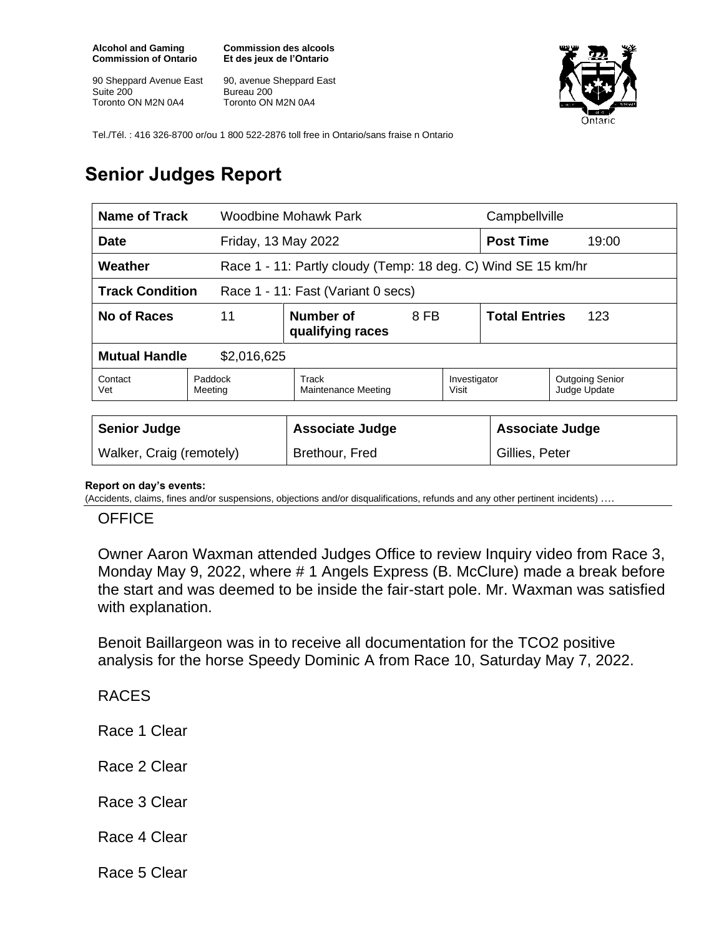**Alcohol and Gaming Commission of Ontario**

90 Sheppard Avenue East Suite 200 Toronto ON M2N 0A4

**Commission des alcools Et des jeux de l'Ontario**

90, avenue Sheppard East Bureau 200 Toronto ON M2N 0A4



Tel./Tél. : 416 326-8700 or/ou 1 800 522-2876 toll free in Ontario/sans fraise n Ontario

# **Senior Judges Report**

| <b>Name of Track</b>                                         |                                             | Woodbine Mohawk Park         |                                                               | Campbellville               |                  |                                        |  |
|--------------------------------------------------------------|---------------------------------------------|------------------------------|---------------------------------------------------------------|-----------------------------|------------------|----------------------------------------|--|
| <b>Date</b>                                                  |                                             | Friday, 13 May 2022          |                                                               |                             | <b>Post Time</b> | 19:00                                  |  |
| Weather                                                      |                                             |                              | Race 1 - 11: Partly cloudy (Temp: 18 deg. C) Wind SE 15 km/hr |                             |                  |                                        |  |
| <b>Track Condition</b><br>Race 1 - 11: Fast (Variant 0 secs) |                                             |                              |                                                               |                             |                  |                                        |  |
| No of Races                                                  | 11<br>Number of<br>8 FB<br>qualifying races |                              |                                                               | <b>Total Entries</b><br>123 |                  |                                        |  |
| <b>Mutual Handle</b><br>\$2,016,625                          |                                             |                              |                                                               |                             |                  |                                        |  |
| Contact<br>Vet                                               | Paddock<br>Meeting                          | Track<br>Maintenance Meeting |                                                               | Investigator<br>Visit       |                  | <b>Outgoing Senior</b><br>Judge Update |  |
|                                                              |                                             |                              |                                                               |                             |                  |                                        |  |
| <b>Senior Judge</b>                                          |                                             | <b>Associate Judge</b>       |                                                               | <b>Associate Judge</b>      |                  |                                        |  |
| Walker, Craig (remotely)                                     |                                             | Brethour, Fred               |                                                               | Gillies, Peter              |                  |                                        |  |

#### **Report on day's events:**

(Accidents, claims, fines and/or suspensions, objections and/or disqualifications, refunds and any other pertinent incidents) ….

### **OFFICE**

Owner Aaron Waxman attended Judges Office to review Inquiry video from Race 3, Monday May 9, 2022, where # 1 Angels Express (B. McClure) made a break before the start and was deemed to be inside the fair-start pole. Mr. Waxman was satisfied with explanation.

Benoit Baillargeon was in to receive all documentation for the TCO2 positive analysis for the horse Speedy Dominic A from Race 10, Saturday May 7, 2022.

## RACES

Race 1 Clear

Race 2 Clear

### Race 3 Clear

Race 4 Clear

Race 5 Clear